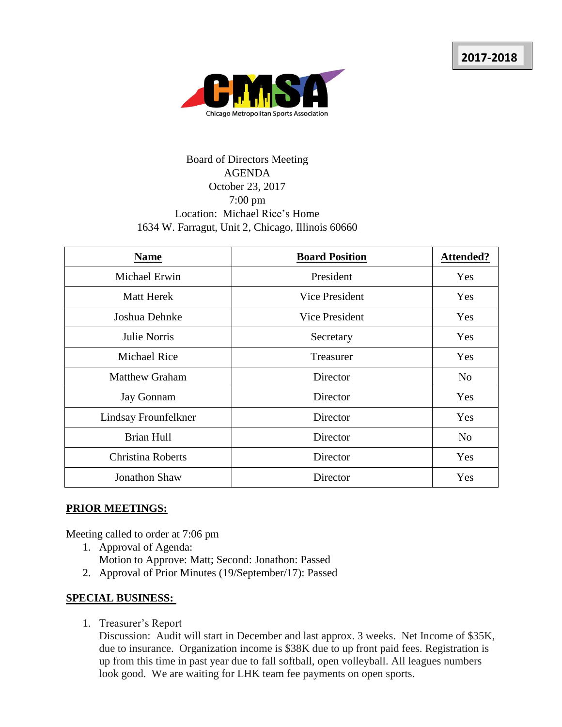

## Board of Directors Meeting AGENDA October 23, 2017 7:00 pm Location: Michael Rice's Home 1634 W. Farragut, Unit 2, Chicago, Illinois 60660

| <b>Name</b>              | <b>Board Position</b> | <b>Attended?</b> |
|--------------------------|-----------------------|------------------|
| Michael Erwin            | President             | Yes              |
| <b>Matt Herek</b>        | Vice President        | Yes              |
| Joshua Dehnke            | Vice President        | Yes              |
| Julie Norris             | Secretary             | Yes              |
| <b>Michael Rice</b>      | Treasurer             | Yes              |
| <b>Matthew Graham</b>    | Director              | N <sub>o</sub>   |
| <b>Jay Gonnam</b>        | Director              | Yes              |
| Lindsay Frounfelkner     | Director              | Yes              |
| <b>Brian Hull</b>        | Director              | N <sub>o</sub>   |
| <b>Christina Roberts</b> | Director              | Yes              |
| Jonathon Shaw            | Director              | Yes              |

## **PRIOR MEETINGS:**

Meeting called to order at 7:06 pm

- 1. Approval of Agenda: Motion to Approve: Matt; Second: Jonathon: Passed
- 2. Approval of Prior Minutes (19/September/17): Passed

## **SPECIAL BUSINESS:**

1. Treasurer's Report

Discussion: Audit will start in December and last approx. 3 weeks. Net Income of \$35K, due to insurance. Organization income is \$38K due to up front paid fees. Registration is up from this time in past year due to fall softball, open volleyball. All leagues numbers look good. We are waiting for LHK team fee payments on open sports.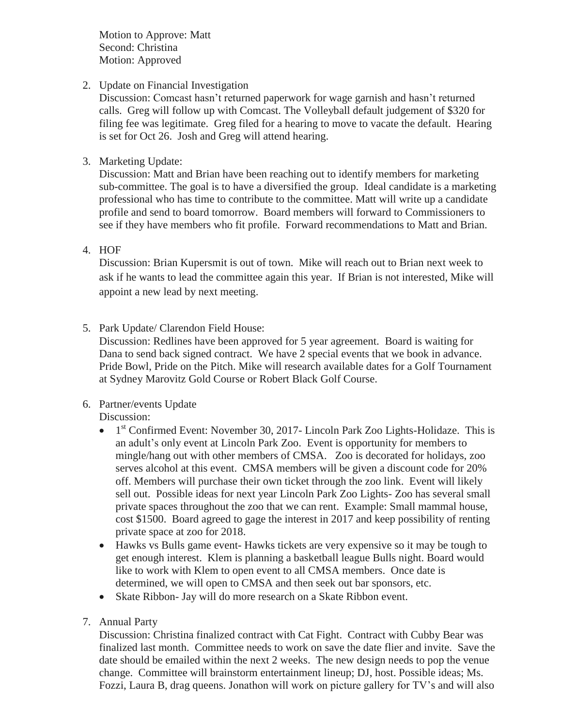Motion to Approve: Matt Second: Christina Motion: Approved

2. Update on Financial Investigation

Discussion: Comcast hasn't returned paperwork for wage garnish and hasn't returned calls. Greg will follow up with Comcast. The Volleyball default judgement of \$320 for filing fee was legitimate. Greg filed for a hearing to move to vacate the default. Hearing is set for Oct 26. Josh and Greg will attend hearing.

3. Marketing Update:

Discussion: Matt and Brian have been reaching out to identify members for marketing sub-committee. The goal is to have a diversified the group. Ideal candidate is a marketing professional who has time to contribute to the committee. Matt will write up a candidate profile and send to board tomorrow. Board members will forward to Commissioners to see if they have members who fit profile. Forward recommendations to Matt and Brian.

4. HOF

Discussion: Brian Kupersmit is out of town. Mike will reach out to Brian next week to ask if he wants to lead the committee again this year. If Brian is not interested, Mike will appoint a new lead by next meeting.

5. Park Update/ Clarendon Field House:

Discussion: Redlines have been approved for 5 year agreement. Board is waiting for Dana to send back signed contract. We have 2 special events that we book in advance. Pride Bowl, Pride on the Pitch. Mike will research available dates for a Golf Tournament at Sydney Marovitz Gold Course or Robert Black Golf Course.

6. Partner/events Update

Discussion:

- $\bullet$  1<sup>st</sup> Confirmed Event: November 30, 2017- Lincoln Park Zoo Lights-Holidaze. This is an adult's only event at Lincoln Park Zoo. Event is opportunity for members to mingle/hang out with other members of CMSA. Zoo is decorated for holidays, zoo serves alcohol at this event. CMSA members will be given a discount code for 20% off. Members will purchase their own ticket through the zoo link. Event will likely sell out. Possible ideas for next year Lincoln Park Zoo Lights- Zoo has several small private spaces throughout the zoo that we can rent. Example: Small mammal house, cost \$1500. Board agreed to gage the interest in 2017 and keep possibility of renting private space at zoo for 2018.
- Hawks vs Bulls game event- Hawks tickets are very expensive so it may be tough to get enough interest. Klem is planning a basketball league Bulls night. Board would like to work with Klem to open event to all CMSA members. Once date is determined, we will open to CMSA and then seek out bar sponsors, etc.
- Skate Ribbon- Jay will do more research on a Skate Ribbon event.
- 7. Annual Party

Discussion: Christina finalized contract with Cat Fight. Contract with Cubby Bear was finalized last month. Committee needs to work on save the date flier and invite. Save the date should be emailed within the next 2 weeks. The new design needs to pop the venue change. Committee will brainstorm entertainment lineup; DJ, host. Possible ideas; Ms. Fozzi, Laura B, drag queens. Jonathon will work on picture gallery for TV's and will also